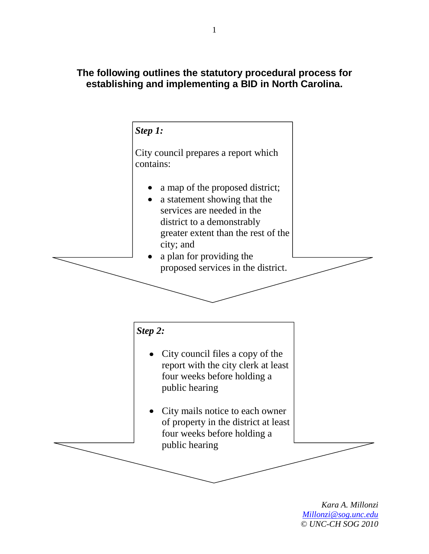## **The following outlines the statutory procedural process for establishing and implementing a BID in North Carolina.**



*Kara A. Millonzi Millonzi@sog.unc.edu © UNC-CH SOG 2010*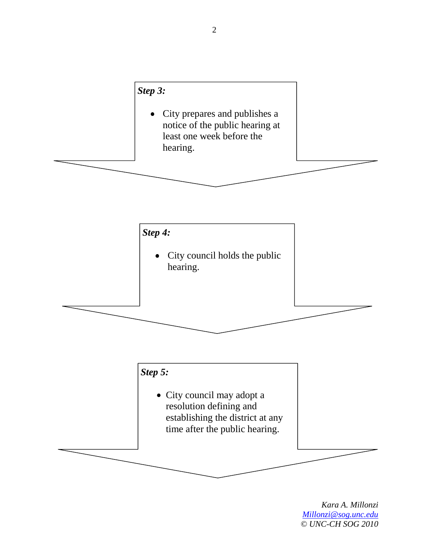## *Step 3:*

• City prepares and publishes a notice of the public hearing at least one week before the hearing.



*Kara A. Millonzi Millonzi@sog.unc.edu © UNC-CH SOG 2010*